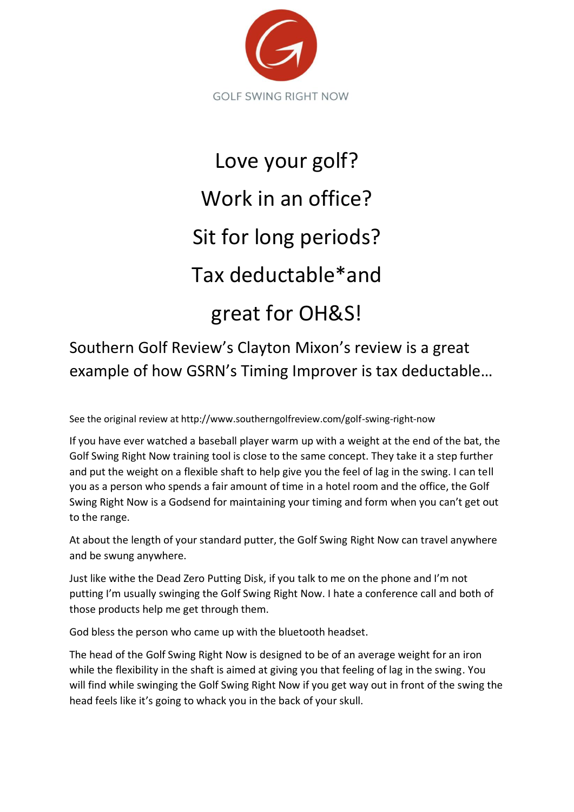

## Love your golf? Work in an office? Sit for long periods? Tax deductable\*and great for OH&S!

Southern Golf Review's Clayton Mixon's review is a great example of how GSRN's Timing Improver is tax deductable…

See the original review at http://www.southerngolfreview.com/golf-swing-right-now

If you have ever watched a baseball player warm up with a weight at the end of the bat, the Golf Swing Right Now training tool is close to the same concept. They take it a step further and put the weight on a flexible shaft to help give you the feel of lag in the swing. I can tell you as a person who spends a fair amount of time in a hotel room and the office, the Golf Swing Right Now is a Godsend for maintaining your timing and form when you can't get out to the range.

At about the length of your standard putter, the Golf Swing Right Now can travel anywhere and be swung anywhere.

Just like withe the Dead Zero Putting Disk, if you talk to me on the phone and I'm not putting I'm usually swinging the Golf Swing Right Now. I hate a conference call and both of those products help me get through them.

God bless the person who came up with the bluetooth headset.

The head of the Golf Swing Right Now is designed to be of an average weight for an iron while the flexibility in the shaft is aimed at giving you that feeling of lag in the swing. You will find while swinging the Golf Swing Right Now if you get way out in front of the swing the head feels like it's going to whack you in the back of your skull.